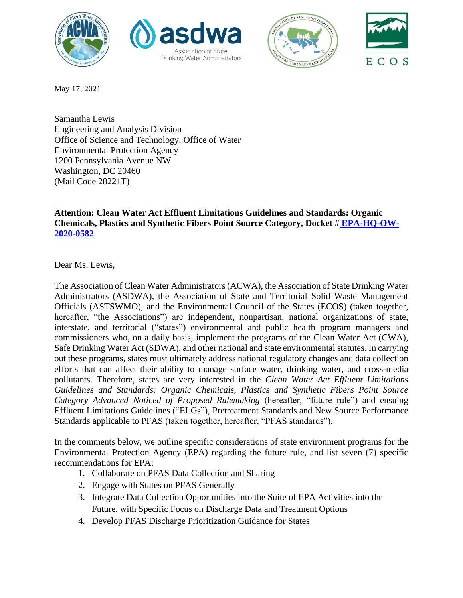







May 17, 2021

Samantha Lewis Engineering and Analysis Division Office of Science and Technology, Office of Water Environmental Protection Agency 1200 Pennsylvania Avenue NW Washington, DC 20460 (Mail Code 28221T)

# **Attention: Clean Water Act Effluent Limitations Guidelines and Standards: Organic Chemicals, Plastics and Synthetic Fibers Point Source Category, Docket # [EPA-HQ-OW-](https://www.regulations.gov/document/EPA-HQ-OW-2020-0582-0001)[2020-0582](https://www.regulations.gov/document/EPA-HQ-OW-2020-0582-0001)**

Dear Ms. Lewis,

The Association of Clean Water Administrators (ACWA), the Association of State Drinking Water Administrators (ASDWA), the Association of State and Territorial Solid Waste Management Officials (ASTSWMO), and the Environmental Council of the States (ECOS) (taken together, hereafter, "the Associations") are independent, nonpartisan, national organizations of state, interstate, and territorial ("states") environmental and public health program managers and commissioners who, on a daily basis, implement the programs of the Clean Water Act (CWA), Safe Drinking Water Act (SDWA), and other national and state environmental statutes. In carrying out these programs, states must ultimately address national regulatory changes and data collection efforts that can affect their ability to manage surface water, drinking water, and cross-media pollutants. Therefore, states are very interested in the *Clean Water Act Effluent Limitations Guidelines and Standards: Organic Chemicals, Plastics and Synthetic Fibers Point Source Category Advanced Noticed of Proposed Rulemaking* (hereafter, "future rule") and ensuing Effluent Limitations Guidelines ("ELGs"), Pretreatment Standards and New Source Performance Standards applicable to PFAS (taken together, hereafter, "PFAS standards").

In the comments below, we outline specific considerations of state environment programs for the Environmental Protection Agency (EPA) regarding the future rule, and list seven (7) specific recommendations for EPA:

- 1. Collaborate on PFAS Data Collection and Sharing
- 2. Engage with States on PFAS Generally
- 3. Integrate Data Collection Opportunities into the Suite of EPA Activities into the Future, with Specific Focus on Discharge Data and Treatment Options
- 4. Develop PFAS Discharge Prioritization Guidance for States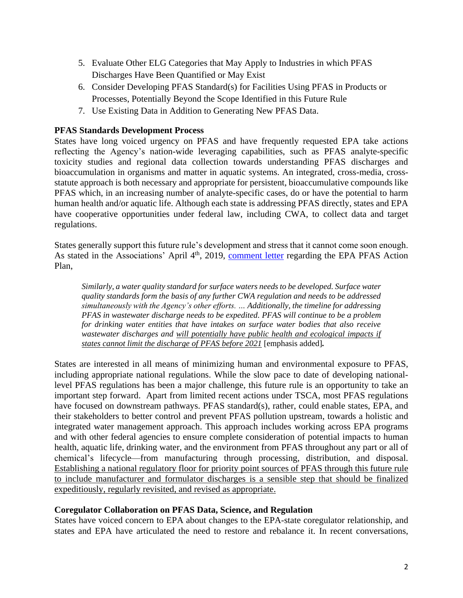- 5. Evaluate Other ELG Categories that May Apply to Industries in which PFAS Discharges Have Been Quantified or May Exist
- 6. Consider Developing PFAS Standard(s) for Facilities Using PFAS in Products or Processes, Potentially Beyond the Scope Identified in this Future Rule
- 7. Use Existing Data in Addition to Generating New PFAS Data.

# **PFAS Standards Development Process**

States have long voiced urgency on PFAS and have frequently requested EPA take actions reflecting the Agency's nation-wide leveraging capabilities, such as PFAS analyte-specific toxicity studies and regional data collection towards understanding PFAS discharges and bioaccumulation in organisms and matter in aquatic systems. An integrated, cross-media, crossstatute approach is both necessary and appropriate for persistent, bioaccumulative compounds like PFAS which, in an increasing number of analyte-specific cases, do or have the potential to harm human health and/or aquatic life. Although each state is addressing PFAS directly, states and EPA have cooperative opportunities under federal law, including CWA, to collect data and target regulations.

States generally support this future rule's development and stress that it cannot come soon enough. As stated in the Associations' April  $4<sup>th</sup>$ , 2019, [comment letter](https://www.acwa-us.org/documents/association-comment-letter-on-epa-pfas-action-plan/) regarding the EPA PFAS Action Plan,

*Similarly, a water quality standard for surface waters needs to be developed. Surface water quality standards form the basis of any further CWA regulation and needs to be addressed simultaneously with the Agency's other efforts. … Additionally, the timeline for addressing PFAS in wastewater discharge needs to be expedited. PFAS will continue to be a problem for drinking water entities that have intakes on surface water bodies that also receive wastewater discharges and will potentially have public health and ecological impacts if states cannot limit the discharge of PFAS before 2021* [emphasis added]*.*

States are interested in all means of minimizing human and environmental exposure to PFAS, including appropriate national regulations. While the slow pace to date of developing nationallevel PFAS regulations has been a major challenge, this future rule is an opportunity to take an important step forward. Apart from limited recent actions under TSCA, most PFAS regulations have focused on downstream pathways. PFAS standard(s), rather, could enable states, EPA, and their stakeholders to better control and prevent PFAS pollution upstream, towards a holistic and integrated water management approach. This approach includes working across EPA programs and with other federal agencies to ensure complete consideration of potential impacts to human health, aquatic life, drinking water, and the environment from PFAS throughout any part or all of chemical's lifecycle—from manufacturing through processing, distribution, and disposal. Establishing a national regulatory floor for priority point sources of PFAS through this future rule to include manufacturer and formulator discharges is a sensible step that should be finalized expeditiously, regularly revisited, and revised as appropriate.

## **Coregulator Collaboration on PFAS Data, Science, and Regulation**

States have voiced concern to EPA about changes to the EPA-state coregulator relationship, and states and EPA have articulated the need to restore and rebalance it. In recent conversations,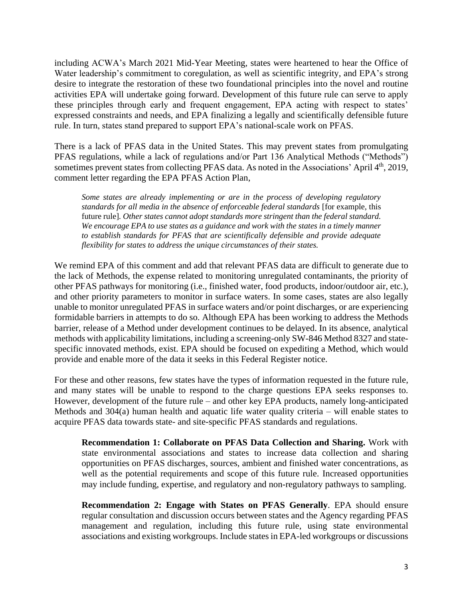including ACWA's March 2021 Mid-Year Meeting, states were heartened to hear the Office of Water leadership's commitment to coregulation, as well as scientific integrity, and EPA's strong desire to integrate the restoration of these two foundational principles into the novel and routine activities EPA will undertake going forward. Development of this future rule can serve to apply these principles through early and frequent engagement, EPA acting with respect to states' expressed constraints and needs, and EPA finalizing a legally and scientifically defensible future rule. In turn, states stand prepared to support EPA's national-scale work on PFAS.

There is a lack of PFAS data in the United States. This may prevent states from promulgating PFAS regulations, while a lack of regulations and/or Part 136 Analytical Methods ("Methods") sometimes prevent states from collecting PFAS data. As noted in the Associations' April 4<sup>th</sup>, 2019, comment letter regarding the EPA PFAS Action Plan,

*Some states are already implementing or are in the process of developing regulatory standards for all media in the absence of enforceable federal standards* [for example, this future rule]*. Other states cannot adopt standards more stringent than the federal standard. We encourage EPA to use states as a guidance and work with the states in a timely manner to establish standards for PFAS that are scientifically defensible and provide adequate flexibility for states to address the unique circumstances of their states.*

We remind EPA of this comment and add that relevant PFAS data are difficult to generate due to the lack of Methods, the expense related to monitoring unregulated contaminants, the priority of other PFAS pathways for monitoring (i.e., finished water, food products, indoor/outdoor air, etc.), and other priority parameters to monitor in surface waters. In some cases, states are also legally unable to monitor unregulated PFAS in surface waters and/or point discharges, or are experiencing formidable barriers in attempts to do so. Although EPA has been working to address the Methods barrier, release of a Method under development continues to be delayed. In its absence, analytical methods with applicability limitations, including a screening-only SW-846 Method 8327 and statespecific innovated methods, exist. EPA should be focused on expediting a Method, which would provide and enable more of the data it seeks in this Federal Register notice.

For these and other reasons, few states have the types of information requested in the future rule, and many states will be unable to respond to the charge questions EPA seeks responses to. However, development of the future rule – and other key EPA products, namely long-anticipated Methods and 304(a) human health and aquatic life water quality criteria – will enable states to acquire PFAS data towards state- and site-specific PFAS standards and regulations.

**Recommendation 1: Collaborate on PFAS Data Collection and Sharing.** Work with state environmental associations and states to increase data collection and sharing opportunities on PFAS discharges, sources, ambient and finished water concentrations, as well as the potential requirements and scope of this future rule. Increased opportunities may include funding, expertise, and regulatory and non-regulatory pathways to sampling.

**Recommendation 2: Engage with States on PFAS Generally**. EPA should ensure regular consultation and discussion occurs between states and the Agency regarding PFAS management and regulation, including this future rule, using state environmental associations and existing workgroups. Include states in EPA-led workgroups or discussions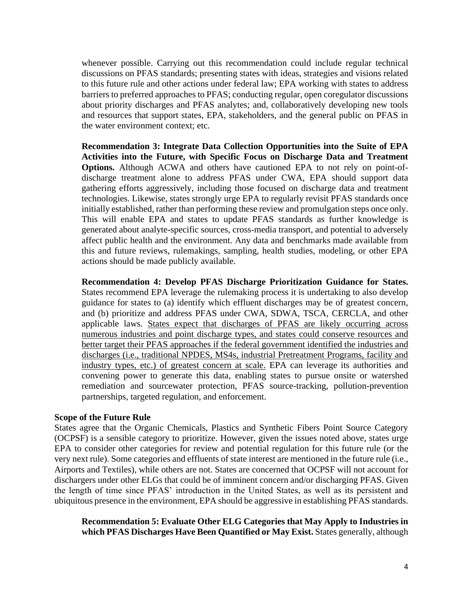whenever possible. Carrying out this recommendation could include regular technical discussions on PFAS standards; presenting states with ideas, strategies and visions related to this future rule and other actions under federal law; EPA working with states to address barriers to preferred approaches to PFAS; conducting regular, open coregulator discussions about priority discharges and PFAS analytes; and, collaboratively developing new tools and resources that support states, EPA, stakeholders, and the general public on PFAS in the water environment context; etc.

**Recommendation 3: Integrate Data Collection Opportunities into the Suite of EPA Activities into the Future, with Specific Focus on Discharge Data and Treatment Options.** Although ACWA and others have cautioned EPA to not rely on point-ofdischarge treatment alone to address PFAS under CWA, EPA should support data gathering efforts aggressively, including those focused on discharge data and treatment technologies. Likewise, states strongly urge EPA to regularly revisit PFAS standards once initially established, rather than performing these review and promulgation steps once only. This will enable EPA and states to update PFAS standards as further knowledge is generated about analyte-specific sources, cross-media transport, and potential to adversely affect public health and the environment. Any data and benchmarks made available from this and future reviews, rulemakings, sampling, health studies, modeling, or other EPA actions should be made publicly available.

**Recommendation 4: Develop PFAS Discharge Prioritization Guidance for States.** States recommend EPA leverage the rulemaking process it is undertaking to also develop guidance for states to (a) identify which effluent discharges may be of greatest concern, and (b) prioritize and address PFAS under CWA, SDWA, TSCA, CERCLA, and other applicable laws. States expect that discharges of PFAS are likely occurring across numerous industries and point discharge types, and states could conserve resources and better target their PFAS approaches if the federal government identified the industries and discharges (i.e., traditional NPDES, MS4s, industrial Pretreatment Programs, facility and industry types, etc.) of greatest concern at scale. EPA can leverage its authorities and convening power to generate this data, enabling states to pursue onsite or watershed remediation and sourcewater protection, PFAS source-tracking, pollution-prevention partnerships, targeted regulation, and enforcement.

#### **Scope of the Future Rule**

States agree that the Organic Chemicals, Plastics and Synthetic Fibers Point Source Category (OCPSF) is a sensible category to prioritize. However, given the issues noted above, states urge EPA to consider other categories for review and potential regulation for this future rule (or the very next rule). Some categories and effluents of state interest are mentioned in the future rule (i.e., Airports and Textiles), while others are not. States are concerned that OCPSF will not account for dischargers under other ELGs that could be of imminent concern and/or discharging PFAS. Given the length of time since PFAS' introduction in the United States, as well as its persistent and ubiquitous presence in the environment, EPA should be aggressive in establishing PFAS standards.

**Recommendation 5: Evaluate Other ELG Categories that May Apply to Industries in which PFAS Discharges Have Been Quantified or May Exist.** States generally, although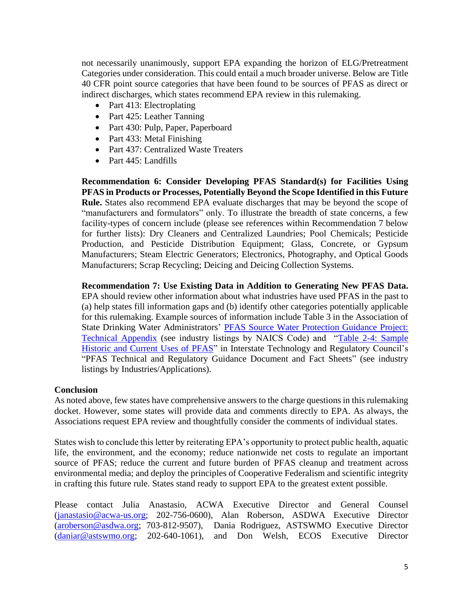not necessarily unanimously, support EPA expanding the horizon of ELG/Pretreatment Categories under consideration. This could entail a much broader universe. Below are Title 40 CFR point source categories that have been found to be sources of PFAS as direct or indirect discharges, which states recommend EPA review in this rulemaking.

- Part 413: Electroplating
- Part 425: Leather Tanning
- Part 430: Pulp, Paper, Paperboard
- Part 433: Metal Finishing
- Part 437: Centralized Waste Treaters
- Part 445: Landfills

**Recommendation 6: Consider Developing PFAS Standard(s) for Facilities Using PFAS in Products or Processes, Potentially Beyond the Scope Identified in this Future Rule.** States also recommend EPA evaluate discharges that may be beyond the scope of "manufacturers and formulators" only. To illustrate the breadth of state concerns, a few facility-types of concern include (please see references within Recommendation 7 below for further lists): Dry Cleaners and Centralized Laundries; Pool Chemicals; Pesticide Production, and Pesticide Distribution Equipment; Glass, Concrete, or Gypsum Manufacturers; Steam Electric Generators; Electronics, Photography, and Optical Goods Manufacturers; Scrap Recycling; Deicing and Deicing Collection Systems.

**Recommendation 7: Use Existing Data in Addition to Generating New PFAS Data.**  EPA should review other information about what industries have used PFAS in the past to (a) help states fill information gaps and (b) identify other categories potentially applicable for this rulemaking. Example sources of information include Table 3 in the Association of State Drinking Water Administrators' PFAS Source Water Protection Guidance Project: [Technical Appendix](https://www.asdwa.org/wp-content/uploads/2020/05/ASDWA-PFAS-SWP-Technical-Appendix_FINAL3.pdf) (see industry listings by NAICS Code) and ["Table 2-4: Sample](https://pfas-1.itrcweb.org/2-5-pfas-uses/)  [Historic and Current Uses of PFAS"](https://pfas-1.itrcweb.org/2-5-pfas-uses/) in Interstate Technology and Regulatory Council's "PFAS Technical and Regulatory Guidance Document and Fact Sheets" (see industry listings by Industries/Applications).

### **Conclusion**

As noted above, few states have comprehensive answers to the charge questions in this rulemaking docket. However, some states will provide data and comments directly to EPA. As always, the Associations request EPA review and thoughtfully consider the comments of individual states.

States wish to conclude this letter by reiterating EPA's opportunity to protect public health, aquatic life, the environment, and the economy; reduce nationwide net costs to regulate an important source of PFAS; reduce the current and future burden of PFAS cleanup and treatment across environmental media; and deploy the principles of Cooperative Federalism and scientific integrity in crafting this future rule. States stand ready to support EPA to the greatest extent possible.

Please contact Julia Anastasio, ACWA Executive Director and General Counsel [\(janastasio@acwa-us.org;](mailto:janastasio@acwa-us.org) 202-756-0600), Alan Roberson, ASDWA Executive Director [\(aroberson@asdwa.org;](mailto:aroberson@asdwa.org) 703-812-9507), Dania Rodriguez, ASTSWMO Executive Director [\(daniar@astswmo.org;](mailto:daniar@astswmo.org) 202-640-1061), and Don Welsh, ECOS Executive Director